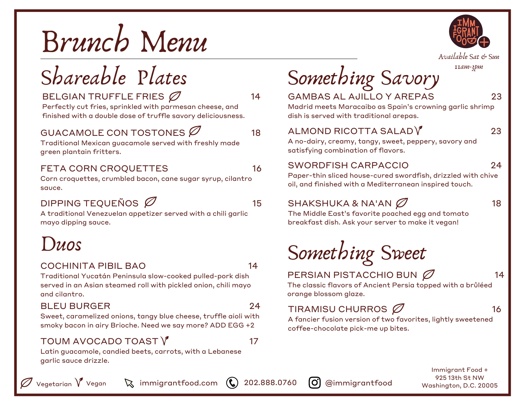

## Shareable Plates

#### BELGIAN TRUFFLE FRIES  $\varnothing$  14

Perfectly cut fries, sprinkled with parmesan cheese, and finished with a double dose of truffle savory deliciousness.

#### GUACAMOLE CON TOSTONES  $\varnothing$  18

Traditional Mexican guacamole served with freshly made green plantain fritters.

#### FETA CORN CROQUETTES 16

Corn croquettes, crumbled bacon, cane sugar syrup, cilantro sauce.

#### DIPPING TEQUEÑOS  $\varnothing$  15

A traditional Venezuelan appetizer served with a chili garlic mayo dipping sauce.

### Duos

#### COCHINITA PIBIL BAO 14

Traditional Yucatán Peninsula slow-cooked pulled-pork dish served in an Asian steamed roll with pickled onion, chili mayo and cilantro.

#### BLEU BURGER 24

Sweet, caramelized onions, tangy blue cheese, truffle aioli with smoky bacon in airy Brioche. Need we say more? ADD EGG +2

#### TOUM AVOCADO TOAST  $\sqrt{\ }$  17

Latin guacamole, candied beets, carrots, with a Lebanese garlic sauce drizzle.



Available Sat & Sun

11am-3pm

# Something Savory

#### GAMBAS AL AJILLO Y AREPAS 23

Madrid meets Maracaibo as Spain's crowning garlic shrimp dish is served with traditional arepas.

#### $ALMOND RICOTTA SALAD<sup>V</sup> 23$

A no-dairy, creamy, tangy, sweet, peppery, savory and satisfying combination of flavors.

#### SWORDFISH CARPACCIO 24

Paper-thin sliced house-cured swordfish, drizzled with chive oil, and finished with a Mediterranean inspired touch.

#### $SHAKSHUKA & NA'AN \n\qquad \qquad \qquad$  18

The Middle East's favorite poached egg and tomato breakfast dish. Ask your server to make it vegan!



PERSIAN PISTACCHIO BUN  $\varnothing$  14

The classic flavors of Ancient Persia topped with a brûléed orange blossom glaze.

#### TIRAMISU CHURROS  $\varnothing$  16

A fancier fusion version of two favorites, lightly sweetened coffee-chocolate pick-me up bites.

> Immigrant Food + 925 13th St NW Washington, D.C. 20005

 $\kappa$  immigrantfood.com  $\kappa$  202.888.0760  $\sigma$  @immigrantfood